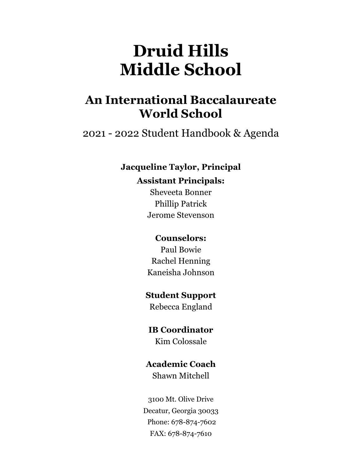# **Druid Hills Middle School**

## **An International Baccalaureate World School**

2021 - 2022 Student Handbook & Agenda

## **Jacqueline Taylor, Principal Assistant Principals:**

Sheveeta Bonner Phillip Patrick Jerome Stevenson

## **Counselors:**

Paul Bowie Rachel Henning Kaneisha Johnson

## **Student Support**

Rebecca England

## **IB Coordinator**

Kim Colossale

## **Academic Coach**

Shawn Mitchell

3100 Mt. Olive Drive Decatur, Georgia 30033 Phone: 678-874-7602 FAX: 678-874-7610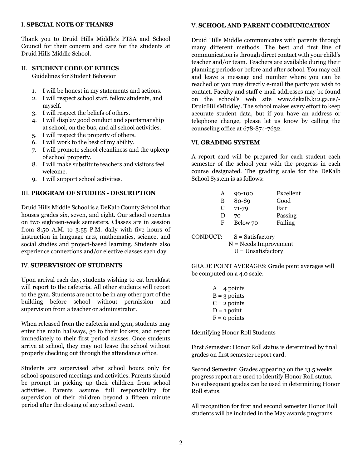#### I. **SPECIAL NOTE OF THANKS**

Thank you to Druid Hills Middle's PTSA and School Council for their concern and care for the students at Druid Hills Middle School.

#### II. **STUDENT CODE OF ETHICS**

Guidelines for Student Behavior

- 1. I will be honest in my statements and actions.
- 2. I will respect school staff, fellow students, and myself.
- 3. I will respect the beliefs of others.
- 4. I will display good conduct and sportsmanship at school, on the bus, and all school activities.
- 5. I will respect the property of others.
- 6. I will work to the best of my ability.
- 7. I will promote school cleanliness and the upkeep of school property.
- 8. I will make substitute teachers and visitors feel welcome.
- 9. I will support school activities.

#### III. **PROGRAM OF STUDIES - DESCRIPTION**

Druid Hills Middle School is a DeKalb County School that houses grades six, seven, and eight. Our school operates on two eighteen-week semesters. Classes are in session from 8:50 A.M. to 3:55 P.M. daily with five hours of instruction in language arts, mathematics, science, and social studies and project-based learning. Students also experience connections and/or elective classes each day.

#### IV. **SUPERVISION OF STUDENTS**

Upon arrival each day, students wishing to eat breakfast will report to the cafeteria. All other students will report to the gym. Students are not to be in any other part of the building before school without permission and supervision from a teacher or administrator.

When released from the cafeteria and gym, students may enter the main hallways, go to their lockers, and report immediately to their first period classes. Once students arrive at school, they may not leave the school without properly checking out through the attendance office.

Students are supervised after school hours only for school-sponsored meetings and activities. Parents should be prompt in picking up their children from school activities. Parents assume full responsibility for supervision of their children beyond a fifteen minute period after the closing of any school event.

### V. **SCHOOL AND PARENT COMMUNICATION**

Druid Hills Middle communicates with parents through many different methods. The best and first line of communication is through direct contact with your child's teacher and/or team. Teachers are available during their planning periods or before and after school. You may call and leave a message and number where you can be reached or you may directly e-mail the party you wish to contact. Faculty and staff e-mail addresses may be found on the school's web site www.dekalb.k12.ga.us/- DruidHillsMiddle/. The school makes every effort to keep accurate student data, but if you have an address or telephone change, please let us know by calling the counseling office at 678-874-7632.

#### VI. **GRADING SYSTEM**

A report card will be prepared for each student each semester of the school year with the progress in each course designated. The grading scale for the DeKalb School System is as follows:

| A | 90-100    | Excellent |
|---|-----------|-----------|
| В | 80-89     | Good      |
| C | $71 - 79$ | Fair      |
| Ð | 70        | Passing   |
| F | Below 70  | Failing   |
|   |           |           |

| CONDUCT: | $S = Satisfactory$      |
|----------|-------------------------|
|          | $N =$ Needs Improvement |
|          | $U =$ Unsatisfactory    |

GRADE POINT AVERAGES: Grade point averages will be computed on a 4.0 scale:

| $A = 4$ points |
|----------------|
| $B = 3$ points |
| $C = 2$ points |
| $D = 1$ point  |
| $F = o$ points |

Identifying Honor Roll Students

First Semester: Honor Roll status is determined by final grades on first semester report card.

Second Semester: Grades appearing on the 13.5 weeks progress report are used to identify Honor Roll status. No subsequent grades can be used in determining Honor Roll status.

All recognition for first and second semester Honor Roll students will be included in the May awards programs.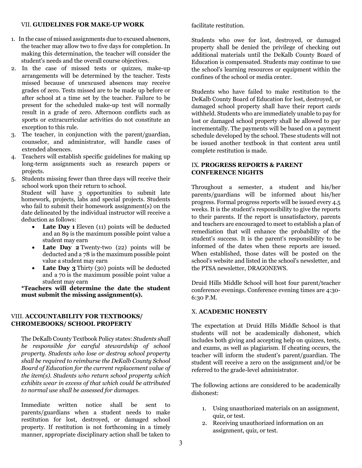#### VII. **GUIDELINES FOR MAKE-UP WORK**

- 1. In the case of missed assignments due to excused absences, the teacher may allow two to five days for completion. In making this determination, the teacher will consider the student's needs and the overall course objectives.
- 2. In the case of missed tests or quizzes, make-up arrangements will be determined by the teacher. Tests missed because of unexcused absences may receive grades of zero. Tests missed are to be made up before or after school at a time set by the teacher. Failure to be present for the scheduled make-up test will normally result in a grade of zero. Afternoon conflicts such as sports or extracurricular activities do not constitute an exception to this rule.
- 3. The teacher, in conjunction with the parent/guardian, counselor, and administrator, will handle cases of extended absences.
- 4. Teachers will establish specific guidelines for making up long-term assignments such as research papers or projects.

5. Students missing fewer than three days will receive their school work upon their return to school. Student will have 3 opportunities to submit late homework, projects, labs and special projects. Students who fail to submit their homework assignment(s) on the date delineated by the individual instructor will receive a deduction as follows:

- **Late Day 1** Eleven (11) points will be deducted and an 89 is the maximum possible point value a student may earn
- Late Day 2 Twenty-two (22) points will be deducted and a 78 is the maximum possible point value a student may earn
- **Late Day 3** Thirty (30) points will be deducted and a 70 is the maximum possible point value a student may earn

**\*Teachers will determine the date the student must submit the missing assignment(s).**

#### VIII. **ACCOUNTABILITY FOR TEXTBOOKS/ CHROMEBOOKS/ SCHOOL PROPERTY**

The DeKalb County Textbook Policy states: *Students shall be responsible for careful stewardship of school property. Students who lose or destroy school property shall be required to reimburse the DeKalb County School Board of Education for the current replacement value of the item(s). Students who return school property which exhibits wear in excess of that which could be attributed to normal use shall be assessed for damages.*

Immediate written notice shall be sent to parents/guardians when a student needs to make restitution for lost, destroyed, or damaged school property. If restitution is not forthcoming in a timely manner, appropriate disciplinary action shall be taken to

facilitate restitution.

Students who owe for lost, destroyed, or damaged property shall be denied the privilege of checking out additional materials until the DeKalb County Board of Education is compensated. Students may continue to use the school's learning resources or equipment within the confines of the school or media center.

Students who have failed to make restitution to the DeKalb County Board of Education for lost, destroyed, or damaged school property shall have their report cards withheld. Students who are immediately unable to pay for lost or damaged school property shall be allowed to pay incrementally. The payments will be based on a payment schedule developed by the school. These students will not be issued another textbook in that content area until complete restitution is made.

#### IX. **PROGRESS REPORTS & PARENT CONFERENCE NIGHTS**

Throughout a semester, a student and his/her parents/guardians will be informed about his/her progress. Formal progress reports will be issued every 4.5 weeks. It is the student's responsibility to give the reports to their parents. If the report is unsatisfactory, parents and teachers are encouraged to meet to establish a plan of remediation that will enhance the probability of the student's success. It is the parent's responsibility to be informed of the dates when these reports are issued. When established, those dates will be posted on the school's website and listed in the school's newsletter, and the PTSA newsletter, DRAGONEWS.

Druid Hills Middle School will host four parent/teacher conference evenings. Conference evening times are 4:30- 6:30 P.M.

#### X. **ACADEMIC HONESTY**

The expectation at Druid Hills Middle School is that students will not be academically dishonest, which includes both giving and accepting help on quizzes, tests, and exams, as well as plagiarism. If cheating occurs, the teacher will inform the student's parent/guardian. The student will receive a zero on the assignment and/or be referred to the grade-level administrator.

The following actions are considered to be academically dishonest:

- 1. Using unauthorized materials on an assignment, quiz, or test.
- 2. Receiving unauthorized information on an assignment, quiz, or test.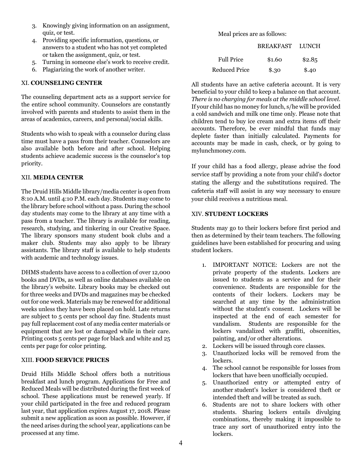- 3. Knowingly giving information on an assignment, quiz, or test.
- 4. Providing specific information, questions, or answers to a student who has not yet completed or taken the assignment, quiz, or test.
- 5. Turning in someone else's work to receive credit.
- 6. Plagiarizing the work of another writer.

#### XI. **COUNSELING CENTER**

The counseling department acts as a support service for the entire school community. Counselors are constantly involved with parents and students to assist them in the areas of academics, careers, and personal/social skills.

Students who wish to speak with a counselor during class time must have a pass from their teacher. Counselors are also available both before and after school. Helping students achieve academic success is the counselor's top priority.

#### XII. **MEDIA CENTER**

The Druid Hills Middle library/media center is open from 8:10 A.M. until 4:10 P.M. each day. Students may come to the library before school without a pass. During the school day students may come to the library at any time with a pass from a teacher. The library is available for reading, research, studying, and tinkering in our Creative Space. The library sponsors many student book clubs and a maker club. Students may also apply to be library assistants. The library staff is available to help students with academic and technology issues.

DHMS students have access to a collection of over 12,000 books and DVDs, as well as online databases available on the library's website. Library books may be checked out for three weeks and DVDs and magazines may be checked out for one week. Materials may be renewed for additional weeks unless they have been placed on hold. Late returns are subject to 5 cents per school day fine. Students must pay full replacement cost of any media center materials or equipment that are lost or damaged while in their care. Printing costs 5 cents per page for black and white and 25 cents per page for color printing.

#### XIII. **FOOD SERVICE PRICES**

Druid Hills Middle School offers both a nutritious breakfast and lunch program. Applications for Free and Reduced Meals will be distributed during the first week of school. These applications must be renewed yearly. If your child participated in the free and reduced program last year, that application expires August 17, 2018. Please submit a new application as soon as possible. However, if the need arises during the school year, applications can be processed at any time.

Meal prices are as follows:

|                      | <b>BREAKFAST</b> | LUNCH  |
|----------------------|------------------|--------|
| <b>Full Price</b>    | \$1.60           | \$2.85 |
| <b>Reduced Price</b> | \$.30            | \$.40  |

All students have an active cafeteria account. It is very beneficial to your child to keep a balance on that account. *There is no charging for meals at the middle school level.*  If your child has no money for lunch, s/he will be provided a cold sandwich and milk one time only. Please note that children tend to buy ice cream and extra items off their accounts. Therefore, be ever mindful that funds may deplete faster than initially calculated. Payments for accounts may be made in cash, check, or by going to mylunchmoney.com.

If your child has a food allergy, please advise the food service staff by providing a note from your child's doctor stating the allergy and the substitutions required. The cafeteria staff will assist in any way necessary to ensure your child receives a nutritious meal.

#### XIV. **STUDENT LOCKERS**

Students may go to their lockers before first period and then as determined by their team teachers. The following guidelines have been established for procuring and using student lockers.

- 1. IMPORTANT NOTICE: Lockers are not the private property of the students. Lockers are issued to students as a service and for their convenience. Students are responsible for the contents of their lockers. Lockers may be searched at any time by the administration without the student's consent. Lockers will be inspected at the end of each semester for vandalism. Students are responsible for the lockers vandalized with graffiti, obscenities, painting, and/or other alterations.
- 2. Lockers will be issued through core classes.
- 3. Unauthorized locks will be removed from the lockers.
- 4. The school cannot be responsible for losses from lockers that have been unofficially occupied.
- 5. Unauthorized entry or attempted entry of another student's locker is considered theft or intended theft and will be treated as such.
- 6. Students are not to share lockers with other students. Sharing lockers entails divulging combinations, thereby making it impossible to trace any sort of unauthorized entry into the lockers.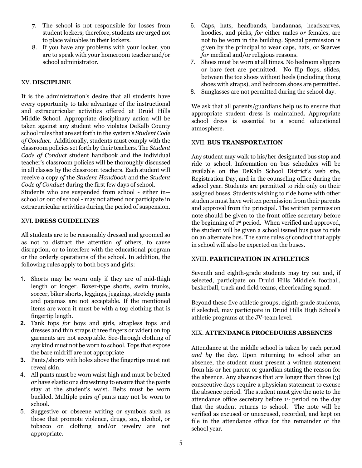- 7. The school is not responsible for losses from student lockers; therefore, students are urged not to place valuables in their lockers.
- 8. If you have any problems with your locker, you are to speak with your homeroom teacher and/or school administrator.

#### XV. **DISCIPLINE**

It is the administration's desire that all students have every opportunity to take advantage of the instructional and extracurricular activities offered at Druid Hills Middle School. Appropriate disciplinary action will be taken against any student who violates DeKalb County school rules that are set forth in the system's *Student Code of Conduct*. Additionally, students must comply with the classroom policies set forth by their teachers. The *Student Code of Conduct* student handbook and the individual teacher's classroom policies will be thoroughly discussed in all classes by the classroom teachers. Each student will receive a copy *of* the *Student Handbook* and the *Student Code of Conduct* during the first few days of school.

Students who are suspended from school - either in- school *or* out of school - may not attend nor participate in extracurricular activities during the period of suspension.

#### XVI. **DRESS GUIDELINES**

All students are to be reasonably dressed and groomed so as not to distract the attention *of* others, to cause disruption, or to interfere with the educational program or the orderly operations of the school. In addition, the following rules apply to both boys and girls:

- 1. Shorts may be worn only if they are of mid-thigh length or longer. Boxer-type shorts, swim trunks, soccer, biker shorts, leggings, jeggings, stretchy pants and pajamas are not acceptable. If the mentioned items are worn it must be with a top clothing that is fingertip length.
- **2.** Tank tops *for* boys and girls, strapless tops and dresses and thin straps (three fingers or wider) on top garments are not acceptable. See-through clothing of any kind must not be worn to school. Tops that expose the bare midriff are not appropriate
- **3.** Pants/shorts with holes above the fingertips must not reveal skin.
- 4. All pants must be worn waist high and must be belted *or* have elastic or a drawstring to ensure that the pants stay at the student's waist. Belts must be worn buckled. Multiple pairs *of* pants may not be worn to school.
- 5. Suggestive or obscene writing or symbols such as those that promote violence, drugs, sex, alcohol, or tobacco on clothing and/or jewelry are not appropriate.
- 6. Caps, hats, headbands, bandannas, headscarves, hoodies, and picks, *for* either males *or* females, are not to be worn in the building. Special permission is given by the principal to wear caps, hats, *or* Scarves *for* medical and/or religious reasons.
- 7. Shoes must be worn at all times. No bedroom slippers or bare feet are permitted. No flip flops, slides, between the toe shoes without heels (including thong shoes with straps), and bedroom shoes are permitted.
- 8. Sunglasses are not permitted during the school day.

We ask that all parents/guardians help us to ensure that appropriate student dress is maintained. Appropriate school dress is essential to a sound educational atmosphere.

#### XVII. **BUS TRANSPORTATION**

Any student may walk to his/her designated bus stop and ride to school. Information on bus schedules will be available on the DeKalb School District's web site, Registration Day, and in the counseling office during the school year. Students are permitted to ride only on their assigned buses. Students wishing to ride home with other students must have written permission from their parents and approval from the principal. The written permission note should be given to the front office secretary before the beginning of 1st period. When verified and approved, the student will be given a school issued bus pass to ride on an alternate bus. The same rules *of* conduct that apply in school will also be expected on the buses.

#### XVIII. **PARTICIPATION IN ATHLETICS**

Seventh and eighth-grade students may try out and, if selected, participate on Druid Hills Middle's football, basketball, track and field teams, cheerleading squad.

Beyond these five athletic groups, eighth-grade students, if selected, may participate in Druid Hills High School's athletic programs at the JV-team level.

#### XIX. **ATTENDANCE PROCEDURES ABSENCES**

Attendance at the middle school is taken by each period *and by* the day. Upon returning to school after an absence, the student must present a written statement from his or her parent or guardian stating the reason for the absence. Any absences that are longer than three (3) consecutive days require a physician statement to excuse the absence period. The student must give the note to the attendance office secretary before 1st period on the day that the student returns to school. The note will be verified as excused or unexcused, recorded, and kept on file in the attendance office for the remainder of the school year.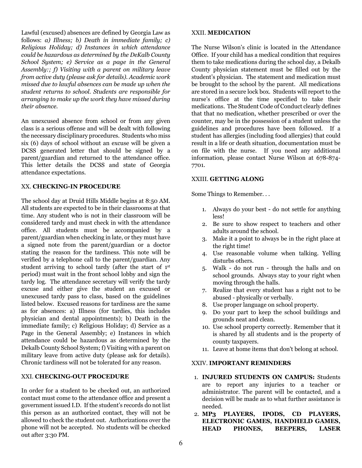Lawful (excused) absences are defined by Georgia Law as follows: *a) Illness; b) Death in immediate family; c) Religious Holiday; d) Instances in which attendance could be hazardous as determined by the DeKalb County School System; e) Service as a page in the General Assembly:; f) Visiting with a parent on military leave from active duty (please ask for details). Academic work missed due to lawful absences can be made up when the student returns to school. Students are responsible for arranging to make up the work they have missed during their absence.*

An unexcused absence from school or from any given class is a serious offense and will be dealt with following the necessary disciplinary procedures. Students who miss six (6) days of school without an excuse will be given a DCSS generated letter that should be signed by a parent/guardian and returned to the attendance office. This letter details the DCSS and state of Georgia attendance expectations.

#### XX. **CHECKING-IN PROCEDURE**

The school day at Druid Hills Middle begins at 8:50 AM. All students are expected to be in their classrooms at that time. Any student who is not in their classroom will be considered tardy and must check in with the attendance office. All students must be accompanied by a parent/guardian when checking in late, or they must have a signed note from the parent/guardian or a doctor stating the reason for the tardiness. This note will be verified by a telephone call to the parent/guardian. Any student arriving to school tardy (after the start of 1st period) must wait in the front school lobby and sign the tardy log. The attendance secretary will verify the tardy excuse and either give the student an excused or unexcused tardy pass to class, based on the guidelines listed below. Excused reasons for tardiness are the same as for absences: a) Illness (for tardies, this includes physician and dental appointments); b) Death in the immediate family; c) Religious Holiday; d) Service as a Page in the General Assembly; e) Instances in which attendance could be hazardous as determined by the Dekalb County School System; f) Visiting with a parent on military leave from active duty (please ask for details). Chronic tardiness will not be tolerated for any reason.

#### XXI. **CHECKING-OUT PROCEDURE**

In order for a student to be checked out, an authorized contact must come to the attendance office and present a government issued I.D. If the student's records do not list this person as an authorized contact, they will not be allowed to check the student out. Authorizations over the phone will not be accepted. No students will be checked out after 3:30 PM.

#### XXII. **MEDICATION**

The Nurse Wilson's clinic is located in the Attendance Office. If your child has a medical condition that requires them to take medications during the school day, a Dekalb County physician statement must be filled out by the student's physician. The statement and medication must be brought to the school by the parent. All medications are stored in a secure lock box. Students will report to the nurse's office at the time specified to take their medications. The Student Code of Conduct clearly defines that that no medication, whether prescribed or over the counter, may be in the possession of a student unless the guidelines and procedures have been followed. If a student has allergies (including food allergies) that could result in a life or death situation, documentation must be on file with the nurse. If you need any additional information, please contact Nurse Wilson at 678-874- 7701.

#### XXIII. **GETTING ALONG**

Some Things to Remember. . .

- 1. Always do your best do not settle for anything less!
- 2. Be sure to show respect to teachers and other adults around the school.
- 3. Make it a point to always be in the right place at the right time!
- 4. Use reasonable volume when talking. Yelling disturbs others.
- 5. Walk do not run through the halls and on school grounds. Always stay to your right when moving through the halls.
- 7. Realize that every student has a right not to be abused - physically or verbally.
- 8. Use proper language on school property.
- 9. Do your part to keep the school buildings and grounds neat and clean.
- 10. Use school property correctly. Remember that it is shared by all students and is the property of county taxpayers.
- 11. Leave at home items that don't belong at school.

#### XXIV. **IMPORTANT REMINDERS**

- 1. **INJURED STUDENTS ON CAMPUS:** Students are to report any injuries to a teacher or administrator. The parent will be contacted, and a decision will be made as to what further assistance is needed.
- 2. **MP3 PLAYERS, IPODS, CD PLAYERS, ELECTRONIC GAMES, HANDHELD GAMES, HEAD PHONES, BEEPERS, LASER**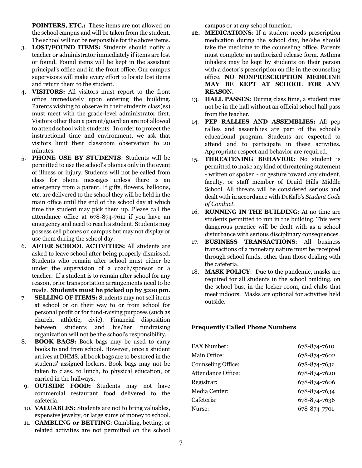**POINTERS, ETC.:** These items are not allowed on the school campus and will be taken from the student. The school will not be responsible for the above items.

- 3. **LOST/FOUND ITEMS:** Students should notify a teacher or administrator immediately if items are lost or found. Found items will be kept in the assistant principal's office and in the front office. Our campus supervisors will make every effort to locate lost items and return them to the student.
- 4. **VISITORS:** All visitors must report to the front office immediately upon entering the building. Parents wishing to observe in their students class(es) must meet with the grade-level administrator first. Visitors other than a parent/guardian are not allowed to attend school with students. In order to protect the instructional time and environment, we ask that visitors limit their classroom observation to 20 minutes.
- 5. **PHONE USE BY STUDENTS**: Students will be permitted to use the school's phones only in the event of illness or injury. Students will not be called from class for phone messages unless there is an emergency from a parent. If gifts, flowers, balloons, etc. are delivered to the school they will be held in the main office until the end of the school day at which time the student may pick them up. Please call the attendance office at 678-874-7611 if you have an emergency and need to reach a student. Students may possess cell phones on campus but may not display or use them during the school day.
- 6. **AFTER SCHOOL ACTIVITIES:** All students are asked to leave school after being properly dismissed. Students who remain after school must either be under the supervision of a coach/sponsor or a teacher. If a student is to remain after school for any reason, prior transportation arrangements need to be made. **Students must be picked up by 5:00 pm**.
- 7. **SELLING OF ITEMS:** Students may not sell items at school or on their way to or from school for personal profit or for fund-raising purposes (such as church, athletic, civic). Financial disposition between students and his/her fundraising organization will not be the school's responsibility.
- 8. **BOOK BAGS:** Book bags may be used to carry books to and from school. However, once a student arrives at DHMS, all book bags are to be stored in the students' assigned lockers. Book bags may not be taken to class, to lunch, to physical education, or carried in the hallways.
- 9. **OUTSIDE FOOD:** Students may not have commercial restaurant food delivered to the cafeteria.
- 10. **VALUABLES:** Students are not to bring valuables, expensive jewelry, or large sums of money to school.
- 11. **GAMBLING or BETTING**: Gambling, betting, or related activities are not permitted on the school

campus or at any school function.

- **12. MEDICATIONS**: If a student needs prescription medication during the school day, he/she should take the medicine to the counseling office. Parents must complete an authorized release form. Asthma inhalers may be kept by students on their person with a doctor's prescription on file in the counseling office. **NO NONPRESCRIPTION MEDICINE MAY BE KEPT AT SCHOOL FOR ANY REASON.**
- 13. **HALL PASSES:** During class time, a student may not be in the hall without an official school hall pass from the teacher.
- 14. **PEP RALLIES AND ASSEMBLIES:** All pep rallies and assemblies are part of the school's educational program. Students are expected to attend and to participate in these activities. Appropriate respect and behavior are required.
- 15. **THREATENING BEHAVIOR:** No student is permitted to make any kind of threatening statement - written or spoken - or gesture toward any student, faculty, or staff member of Druid Hills Middle School. All threats will be considered serious and dealt with in accordance with DeKalb's *Student Code of Conduct.*
- 16. **RUNNING IN THE BUILDING**: At no time are students permitted to run in the building. This very dangerous practice will be dealt with as a school disturbance with serious disciplinary consequences.
- 17. **BUSINESS TRANSACTIONS**: All business transactions of a monetary nature must be receipted through school funds, other than those dealing with the cafeteria.
- 18. **MASK POLICY**: Due to the pandemic, masks are required for all students in the school building, on the school bus, in the locker room, and clubs that meet indoors. Masks are optional for activities held outside.

#### **Frequently Called Phone Numbers**

| FAX Number:        | 678-874-7610 |
|--------------------|--------------|
| Main Office:       | 678-874-7602 |
| Counseling Office: | 678-874-7632 |
| Attendance Office: | 678-874-7620 |
| Registrar:         | 678-874-7606 |
| Media Center:      | 678-874-7634 |
| Cafeteria:         | 678-874-7636 |
| Nurse:             | 678-874-7701 |
|                    |              |